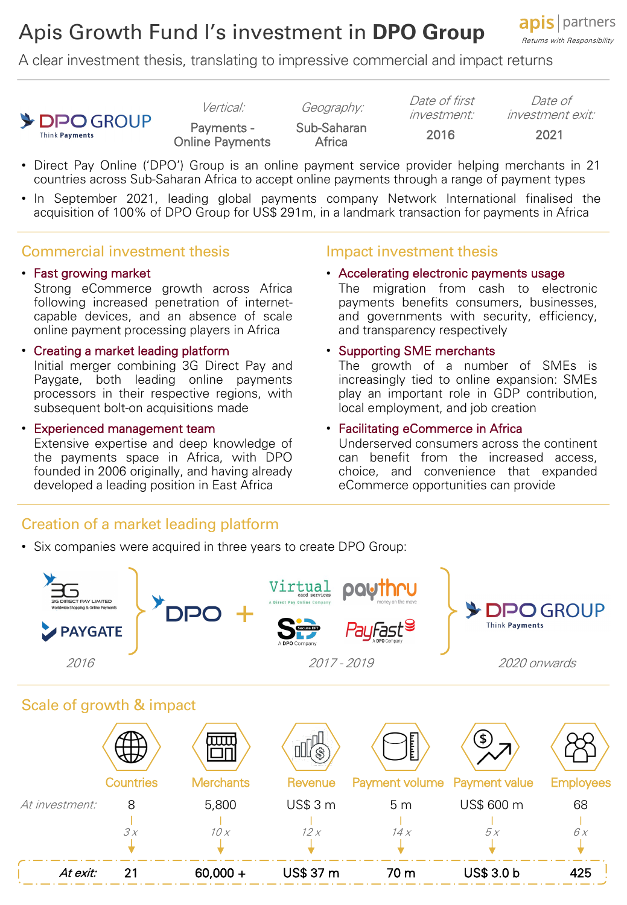# Apis Growth Fund I's investment in **DPO Group**

**apis** | partners Returns with Responsibility

A clear investment thesis, translating to impressive commercial and impact returns



Payments - Online Payments Sub-Saharan<br>Africa -<sub>Canaran</sub> 2016 2021<br>Africa

Vertical: Geography: Date of first investment:

Date of investment exit:

- Direct Pay Online ('DPO') Group is an online payment service provider helping merchants in 21 countries across Sub-Saharan Africa to accept online payments through a range of payment types
- In September 2021, leading global payments company Network International finalised the acquisition of 100% of DPO Group for US\$ 291m, in a landmark transaction for payments in Africa

# Commercial investment thesis

#### • Fast growing market

Strong eCommerce growth across Africa following increased penetration of internetcapable devices, and an absence of scale online payment processing players in Africa

#### • Creating a market leading platform Initial merger combining 3G Direct Pay and Paygate, both leading online payments processors in their respective regions, with subsequent bolt-on acquisitions made

• Experienced management team Extensive expertise and deep knowledge of the payments space in Africa, with DPO founded in 2006 originally, and having already developed a leading position in East Africa

### Impact investment thesis

• Accelerating electronic payments usage

The migration from cash to electronic payments benefits consumers, businesses, and governments with security, efficiency, and transparency respectively

#### • Supporting SME merchants

The growth of a number of SMEs is increasingly tied to online expansion: SMEs play an important role in GDP contribution, local employment, and job creation

#### • Facilitating eCommerce in Africa

Underserved consumers across the continent can benefit from the increased access, choice, and convenience that expanded eCommerce opportunities can provide

# Creation of a market leading platform

• Six companies were acquired in three years to create DPO Group: